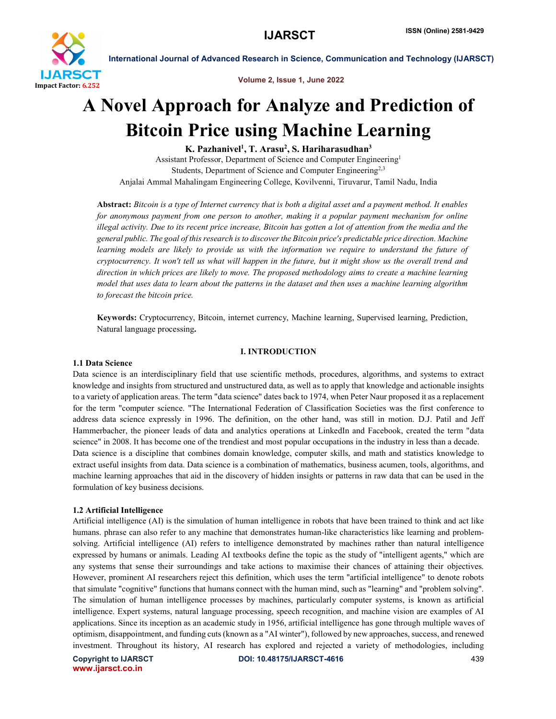

Volume 2, Issue 1, June 2022

# A Novel Approach for Analyze and Prediction of Bitcoin Price using Machine Learning

K. Pazhanivel<sup>1</sup>, T. Arasu<sup>2</sup>, S. Hariharasudhan<sup>3</sup>

Assistant Professor, Department of Science and Computer Engineering1 Students, Department of Science and Computer Engineering<sup>2,3</sup> Anjalai Ammal Mahalingam Engineering College, Kovilvenni, Tiruvarur, Tamil Nadu, India

Abstract: *Bitcoin is a type of Internet currency that is both a digital asset and a payment method. It enables for anonymous payment from one person to another, making it a popular payment mechanism for online illegal activity. Due to its recent price increase, Bitcoin has gotten a lot of attention from the media and the general public. The goal of this research is to discover the Bitcoin price's predictable price direction. Machine learning models are likely to provide us with the information we require to understand the future of cryptocurrency. It won't tell us what will happen in the future, but it might show us the overall trend and direction in which prices are likely to move. The proposed methodology aims to create a machine learning model that uses data to learn about the patterns in the dataset and then uses a machine learning algorithm to forecast the bitcoin price.*

Keywords: Cryptocurrency, Bitcoin, internet currency, Machine learning, Supervised learning, Prediction, Natural language processing.

## I. INTRODUCTION

## 1.1 Data Science

Data science is an interdisciplinary field that use scientific methods, procedures, algorithms, and systems to extract knowledge and insights from structured and unstructured data, as well as to apply that knowledge and actionable insights to a variety of application areas. The term "data science" dates back to 1974, when Peter Naur proposed it as a replacement for the term "computer science. "The International Federation of Classification Societies was the first conference to address data science expressly in 1996. The definition, on the other hand, was still in motion. D.J. Patil and Jeff Hammerbacher, the pioneer leads of data and analytics operations at LinkedIn and Facebook, created the term "data science" in 2008. It has become one of the trendiest and most popular occupations in the industry in less than a decade. Data science is a discipline that combines domain knowledge, computer skills, and math and statistics knowledge to extract useful insights from data. Data science is a combination of mathematics, business acumen, tools, algorithms, and machine learning approaches that aid in the discovery of hidden insights or patterns in raw data that can be used in the formulation of key business decisions.

# 1.2 Artificial Intelligence

Artificial intelligence (AI) is the simulation of human intelligence in robots that have been trained to think and act like humans. phrase can also refer to any machine that demonstrates human-like characteristics like learning and problemsolving. Artificial intelligence (AI) refers to intelligence demonstrated by machines rather than natural intelligence expressed by humans or animals. Leading AI textbooks define the topic as the study of "intelligent agents," which are any systems that sense their surroundings and take actions to maximise their chances of attaining their objectives. However, prominent AI researchers reject this definition, which uses the term "artificial intelligence" to denote robots that simulate "cognitive" functions that humans connect with the human mind, such as "learning" and "problem solving". The simulation of human intelligence processes by machines, particularly computer systems, is known as artificial intelligence. Expert systems, natural language processing, speech recognition, and machine vision are examples of AI applications. Since its inception as an academic study in 1956, artificial intelligence has gone through multiple waves of optimism, disappointment, and funding cuts (known as a "AI winter"), followed by new approaches, success, and renewed investment. Throughout its history, AI research has explored and rejected a variety of methodologies, including

www.ijarsct.co.in

Copyright to IJARSCT **DOI: 10.48175/IJARSCT-4616** 439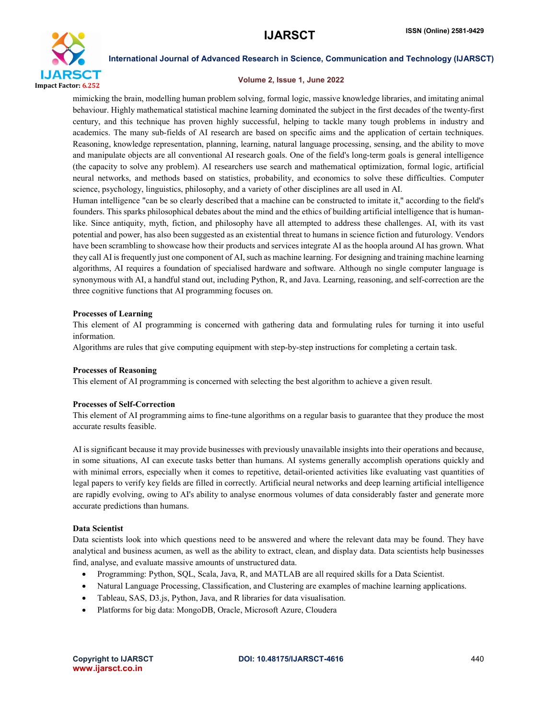

#### Volume 2, Issue 1, June 2022

mimicking the brain, modelling human problem solving, formal logic, massive knowledge libraries, and imitating animal behaviour. Highly mathematical statistical machine learning dominated the subject in the first decades of the twenty-first century, and this technique has proven highly successful, helping to tackle many tough problems in industry and academics. The many sub-fields of AI research are based on specific aims and the application of certain techniques. Reasoning, knowledge representation, planning, learning, natural language processing, sensing, and the ability to move and manipulate objects are all conventional AI research goals. One of the field's long-term goals is general intelligence (the capacity to solve any problem). AI researchers use search and mathematical optimization, formal logic, artificial neural networks, and methods based on statistics, probability, and economics to solve these difficulties. Computer science, psychology, linguistics, philosophy, and a variety of other disciplines are all used in AI.

Human intelligence "can be so clearly described that a machine can be constructed to imitate it," according to the field's founders. This sparks philosophical debates about the mind and the ethics of building artificial intelligence that is humanlike. Since antiquity, myth, fiction, and philosophy have all attempted to address these challenges. AI, with its vast potential and power, has also been suggested as an existential threat to humans in science fiction and futurology. Vendors have been scrambling to showcase how their products and services integrate AI as the hoopla around AI has grown. What they call AI is frequently just one component of AI, such as machine learning. For designing and training machine learning algorithms, AI requires a foundation of specialised hardware and software. Although no single computer language is synonymous with AI, a handful stand out, including Python, R, and Java. Learning, reasoning, and self-correction are the three cognitive functions that AI programming focuses on.

## Processes of Learning

This element of AI programming is concerned with gathering data and formulating rules for turning it into useful information.

Algorithms are rules that give computing equipment with step-by-step instructions for completing a certain task.

#### Processes of Reasoning

This element of AI programming is concerned with selecting the best algorithm to achieve a given result.

#### Processes of Self-Correction

This element of AI programming aims to fine-tune algorithms on a regular basis to guarantee that they produce the most accurate results feasible.

AI is significant because it may provide businesses with previously unavailable insights into their operations and because, in some situations, AI can execute tasks better than humans. AI systems generally accomplish operations quickly and with minimal errors, especially when it comes to repetitive, detail-oriented activities like evaluating vast quantities of legal papers to verify key fields are filled in correctly. Artificial neural networks and deep learning artificial intelligence are rapidly evolving, owing to AI's ability to analyse enormous volumes of data considerably faster and generate more accurate predictions than humans.

#### Data Scientist

Data scientists look into which questions need to be answered and where the relevant data may be found. They have analytical and business acumen, as well as the ability to extract, clean, and display data. Data scientists help businesses find, analyse, and evaluate massive amounts of unstructured data.

- Programming: Python, SQL, Scala, Java, R, and MATLAB are all required skills for a Data Scientist.
- Natural Language Processing, Classification, and Clustering are examples of machine learning applications.
- Tableau, SAS, D3.js, Python, Java, and R libraries for data visualisation.
- Platforms for big data: MongoDB, Oracle, Microsoft Azure, Cloudera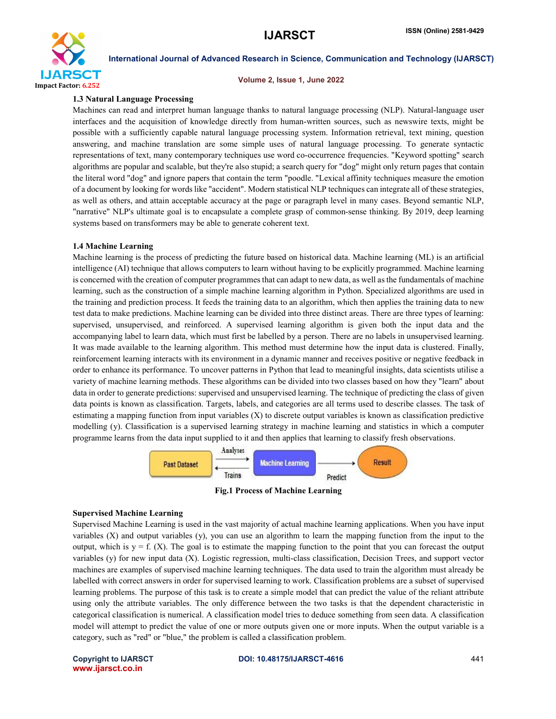

#### Volume 2, Issue 1, June 2022

#### 1.3 Natural Language Processing

Machines can read and interpret human language thanks to natural language processing (NLP). Natural-language user interfaces and the acquisition of knowledge directly from human-written sources, such as newswire texts, might be possible with a sufficiently capable natural language processing system. Information retrieval, text mining, question answering, and machine translation are some simple uses of natural language processing. To generate syntactic representations of text, many contemporary techniques use word co-occurrence frequencies. "Keyword spotting" search algorithms are popular and scalable, but they're also stupid; a search query for "dog" might only return pages that contain the literal word "dog" and ignore papers that contain the term "poodle. "Lexical affinity techniques measure the emotion of a document by looking for words like "accident". Modern statistical NLP techniques can integrate all of these strategies, as well as others, and attain acceptable accuracy at the page or paragraph level in many cases. Beyond semantic NLP, "narrative" NLP's ultimate goal is to encapsulate a complete grasp of common-sense thinking. By 2019, deep learning systems based on transformers may be able to generate coherent text.

#### 1.4 Machine Learning

Machine learning is the process of predicting the future based on historical data. Machine learning (ML) is an artificial intelligence (AI) technique that allows computers to learn without having to be explicitly programmed. Machine learning is concerned with the creation of computer programmes that can adapt to new data, as well as the fundamentals of machine learning, such as the construction of a simple machine learning algorithm in Python. Specialized algorithms are used in the training and prediction process. It feeds the training data to an algorithm, which then applies the training data to new test data to make predictions. Machine learning can be divided into three distinct areas. There are three types of learning: supervised, unsupervised, and reinforced. A supervised learning algorithm is given both the input data and the accompanying label to learn data, which must first be labelled by a person. There are no labels in unsupervised learning. It was made available to the learning algorithm. This method must determine how the input data is clustered. Finally, reinforcement learning interacts with its environment in a dynamic manner and receives positive or negative feedback in order to enhance its performance. To uncover patterns in Python that lead to meaningful insights, data scientists utilise a variety of machine learning methods. These algorithms can be divided into two classes based on how they "learn" about data in order to generate predictions: supervised and unsupervised learning. The technique of predicting the class of given data points is known as classification. Targets, labels, and categories are all terms used to describe classes. The task of estimating a mapping function from input variables (X) to discrete output variables is known as classification predictive modelling (y). Classification is a supervised learning strategy in machine learning and statistics in which a computer programme learns from the data input supplied to it and then applies that learning to classify fresh observations.



Fig.1 Process of Machine Learning

#### Supervised Machine Learning

Supervised Machine Learning is used in the vast majority of actual machine learning applications. When you have input variables  $(X)$  and output variables  $(y)$ , you can use an algorithm to learn the mapping function from the input to the output, which is  $y = f(x)$ . The goal is to estimate the mapping function to the point that you can forecast the output variables (y) for new input data (X). Logistic regression, multi-class classification, Decision Trees, and support vector machines are examples of supervised machine learning techniques. The data used to train the algorithm must already be labelled with correct answers in order for supervised learning to work. Classification problems are a subset of supervised learning problems. The purpose of this task is to create a simple model that can predict the value of the reliant attribute using only the attribute variables. The only difference between the two tasks is that the dependent characteristic in categorical classification is numerical. A classification model tries to deduce something from seen data. A classification model will attempt to predict the value of one or more outputs given one or more inputs. When the output variable is a category, such as "red" or "blue," the problem is called a classification problem.

www.ijarsct.co.in

# Copyright to IJARSCT **DOI: 10.48175/IJARSCT-4616** 441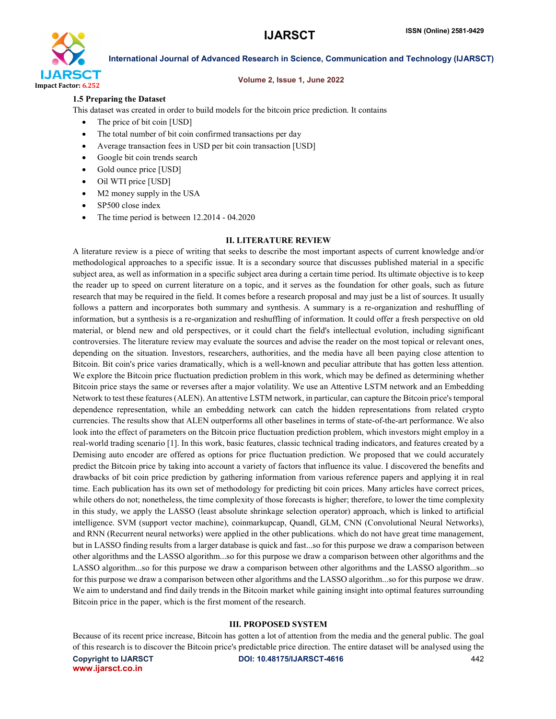

#### Volume 2, Issue 1, June 2022

# 1.5 Preparing the Dataset

This dataset was created in order to build models for the bitcoin price prediction. It contains

- The price of bit coin [USD]
- The total number of bit coin confirmed transactions per day
- Average transaction fees in USD per bit coin transaction [USD]
- Google bit coin trends search
- Gold ounce price [USD]
- Oil WTI price [USD]
- M2 money supply in the USA
- SP500 close index
- The time period is between 12.2014 04.2020

## II. LITERATURE REVIEW

A literature review is a piece of writing that seeks to describe the most important aspects of current knowledge and/or methodological approaches to a specific issue. It is a secondary source that discusses published material in a specific subject area, as well as information in a specific subject area during a certain time period. Its ultimate objective is to keep the reader up to speed on current literature on a topic, and it serves as the foundation for other goals, such as future research that may be required in the field. It comes before a research proposal and may just be a list of sources. It usually follows a pattern and incorporates both summary and synthesis. A summary is a re-organization and reshuffling of information, but a synthesis is a re-organization and reshuffling of information. It could offer a fresh perspective on old material, or blend new and old perspectives, or it could chart the field's intellectual evolution, including significant controversies. The literature review may evaluate the sources and advise the reader on the most topical or relevant ones, depending on the situation. Investors, researchers, authorities, and the media have all been paying close attention to Bitcoin. Bit coin's price varies dramatically, which is a well-known and peculiar attribute that has gotten less attention. We explore the Bitcoin price fluctuation prediction problem in this work, which may be defined as determining whether Bitcoin price stays the same or reverses after a major volatility. We use an Attentive LSTM network and an Embedding Network to test these features (ALEN). An attentive LSTM network, in particular, can capture the Bitcoin price's temporal dependence representation, while an embedding network can catch the hidden representations from related crypto currencies. The results show that ALEN outperforms all other baselines in terms of state-of-the-art performance. We also look into the effect of parameters on the Bitcoin price fluctuation prediction problem, which investors might employ in a real-world trading scenario [1]. In this work, basic features, classic technical trading indicators, and features created by a Demising auto encoder are offered as options for price fluctuation prediction. We proposed that we could accurately predict the Bitcoin price by taking into account a variety of factors that influence its value. I discovered the benefits and drawbacks of bit coin price prediction by gathering information from various reference papers and applying it in real time. Each publication has its own set of methodology for predicting bit coin prices. Many articles have correct prices, while others do not; nonetheless, the time complexity of those forecasts is higher; therefore, to lower the time complexity in this study, we apply the LASSO (least absolute shrinkage selection operator) approach, which is linked to artificial intelligence. SVM (support vector machine), coinmarkupcap, Quandl, GLM, CNN (Convolutional Neural Networks), and RNN (Recurrent neural networks) were applied in the other publications. which do not have great time management, but in LASSO finding results from a larger database is quick and fast...so for this purpose we draw a comparison between other algorithms and the LASSO algorithm...so for this purpose we draw a comparison between other algorithms and the LASSO algorithm...so for this purpose we draw a comparison between other algorithms and the LASSO algorithm...so for this purpose we draw a comparison between other algorithms and the LASSO algorithm...so for this purpose we draw. We aim to understand and find daily trends in the Bitcoin market while gaining insight into optimal features surrounding Bitcoin price in the paper, which is the first moment of the research.

# III. PROPOSED SYSTEM

Because of its recent price increase, Bitcoin has gotten a lot of attention from the media and the general public. The goal of this research is to discover the Bitcoin price's predictable price direction. The entire dataset will be analysed using the

www.ijarsct.co.in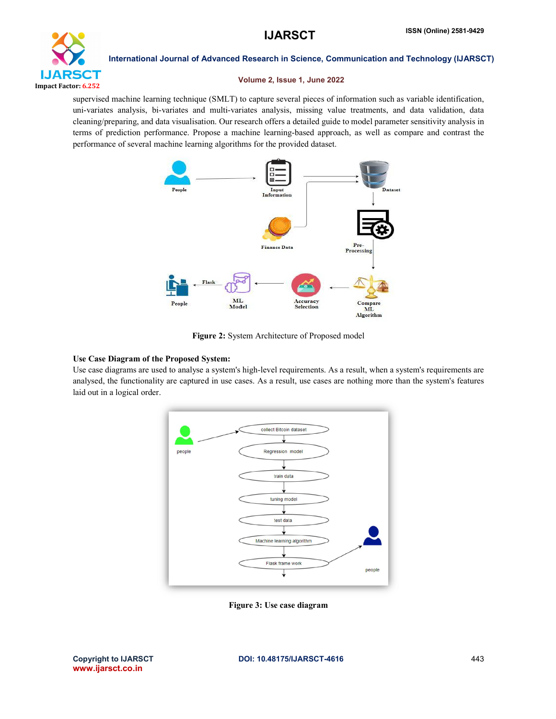

# Volume 2, Issue 1, June 2022

supervised machine learning technique (SMLT) to capture several pieces of information such as variable identification, uni-variates analysis, bi-variates and multi-variates analysis, missing value treatments, and data validation, data cleaning/preparing, and data visualisation. Our research offers a detailed guide to model parameter sensitivity analysis in terms of prediction performance. Propose a machine learning-based approach, as well as compare and contrast the performance of several machine learning algorithms for the provided dataset.



Figure 2: System Architecture of Proposed model

# Use Case Diagram of the Proposed System:

Use case diagrams are used to analyse a system's high-level requirements. As a result, when a system's requirements are analysed, the functionality are captured in use cases. As a result, use cases are nothing more than the system's features laid out in a logical order.



Figure 3: Use case diagram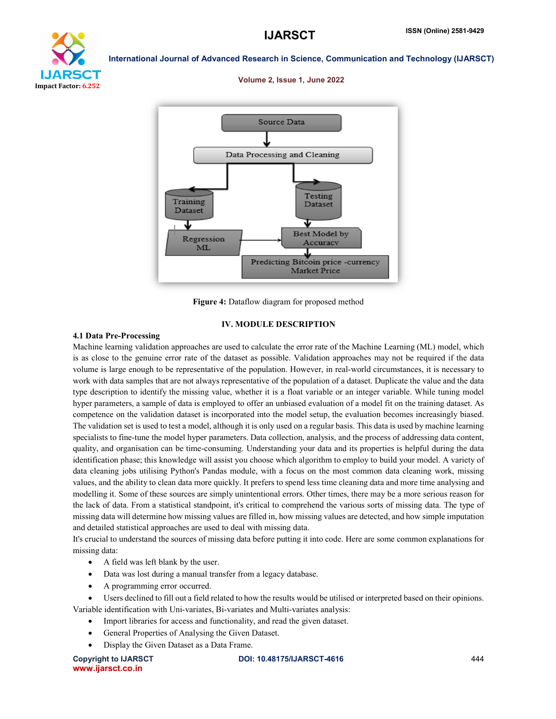

#### Volume 2, Issue 1, June 2022



Figure 4: Dataflow diagram for proposed method

# IV. MODULE DESCRIPTION

#### 4.1 Data Pre-Processing

Machine learning validation approaches are used to calculate the error rate of the Machine Learning (ML) model, which is as close to the genuine error rate of the dataset as possible. Validation approaches may not be required if the data volume is large enough to be representative of the population. However, in real-world circumstances, it is necessary to work with data samples that are not always representative of the population of a dataset. Duplicate the value and the data type description to identify the missing value, whether it is a float variable or an integer variable. While tuning model hyper parameters, a sample of data is employed to offer an unbiased evaluation of a model fit on the training dataset. As competence on the validation dataset is incorporated into the model setup, the evaluation becomes increasingly biased. The validation set is used to test a model, although it is only used on a regular basis. This data is used by machine learning specialists to fine-tune the model hyper parameters. Data collection, analysis, and the process of addressing data content, quality, and organisation can be time-consuming. Understanding your data and its properties is helpful during the data identification phase; this knowledge will assist you choose which algorithm to employ to build your model. A variety of data cleaning jobs utilising Python's Pandas module, with a focus on the most common data cleaning work, missing values, and the ability to clean data more quickly. It prefers to spend less time cleaning data and more time analysing and modelling it. Some of these sources are simply unintentional errors. Other times, there may be a more serious reason for the lack of data. From a statistical standpoint, it's critical to comprehend the various sorts of missing data. The type of missing data will determine how missing values are filled in, how missing values are detected, and how simple imputation and detailed statistical approaches are used to deal with missing data.

It's crucial to understand the sources of missing data before putting it into code. Here are some common explanations for missing data:

- A field was left blank by the user.
- Data was lost during a manual transfer from a legacy database.
- A programming error occurred.
- Users declined to fill out a field related to how the results would be utilised or interpreted based on their opinions. Variable identification with Uni-variates, Bi-variates and Multi-variates analysis:
	- Import libraries for access and functionality, and read the given dataset.
	- General Properties of Analysing the Given Dataset.
	- Display the Given Dataset as a Data Frame.

www.ijarsct.co.in

Copyright to IJARSCT **DOI: 10.48175/IJARSCT-4616** 444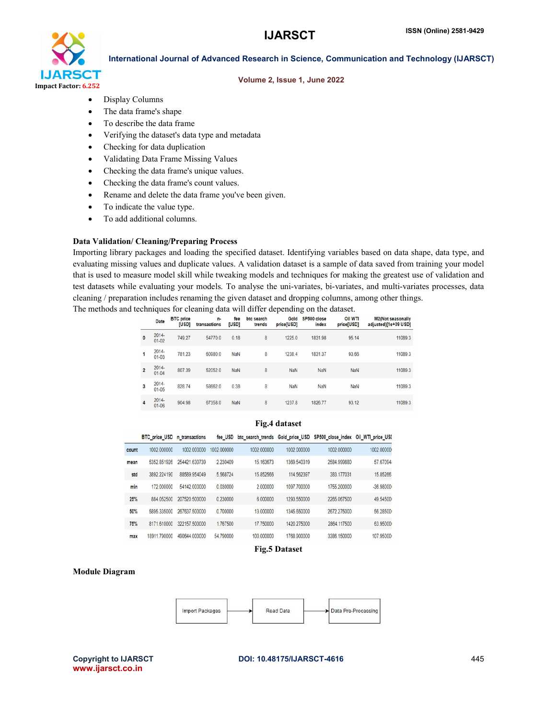

### Volume 2, Issue 1, June 2022

- Display Columns
- The data frame's shape
- To describe the data frame
- Verifying the dataset's data type and metadata
- Checking for data duplication
- Validating Data Frame Missing Values
- Checking the data frame's unique values.
- Checking the data frame's count values.
- Rename and delete the data frame you've been given.
- To indicate the value type.
- To add additional columns.

## Data Validation/ Cleaning/Preparing Process

Importing library packages and loading the specified dataset. Identifying variables based on data shape, data type, and evaluating missing values and duplicate values. A validation dataset is a sample of data saved from training your model that is used to measure model skill while tweaking models and techniques for making the greatest use of validation and test datasets while evaluating your models. To analyse the uni-variates, bi-variates, and multi-variates processes, data cleaning / preparation includes renaming the given dataset and dropping columns, among other things. The methods and techniques for cleaning data will differ depending on the dataset.

|                | Date                  | <b>BTC</b> price<br>[USD] | n-<br>transactions | fee<br>[USD] | btc search<br>trends | Gold<br>price[USD] | SP500 close<br>index | <b>Oil WTI</b><br>price[USD] | <b>M2(Not seasonally</b><br>adjusted)[1e+09 USD] |
|----------------|-----------------------|---------------------------|--------------------|--------------|----------------------|--------------------|----------------------|------------------------------|--------------------------------------------------|
| $\mathbf{0}$   | $2014 -$<br>$01-02$   | 749.27                    | 54770.0            | 0.18         | 8                    | 1225.0             | 1831.98              | 95.14                        | 11089.3                                          |
|                | 2014-<br>$01 - 03$    | 781.23                    | 60980.0            | <b>NaN</b>   | 8                    | 1238.4             | 1831.37              | 93.66                        | 11089.3                                          |
| $\overline{2}$ | 2014-<br>$01 - 04$    | 807.39                    | 52052.0            | <b>NaN</b>   | 8                    | <b>NaN</b>         | <b>NaN</b>           | <b>NaN</b>                   | 11089.3                                          |
| 3              | $2014 -$<br>$01 - 05$ | 828.74                    | 58662.0            | 0.38         | 8                    | <b>NaN</b>         | <b>NaN</b>           | <b>NaN</b>                   | 11089.3                                          |
| 4              | 2014-<br>$01 - 06$    | 904.98                    | 67358.0            | NaN          | 8                    | 1237.8             | 1826.77              | 93.12                        | 11089.3                                          |

## Fig.4 dataset

|       | <b>BTC</b> price USD | n transactions | fee USD     |             |             | btc_search_trends Gold_price_USD SP500_close_index Oil_WTI_price_USI |             |
|-------|----------------------|----------------|-------------|-------------|-------------|----------------------------------------------------------------------|-------------|
| count | 1002 000000          | 1002 000000    | 1002 000000 | 1002 000000 | 1002 000000 | 1002 000000                                                          | 1002 00000  |
| mean  | 5352 851926          | 254421 630739  | 2 230409    | 15.163673   | 1369 540319 | 2584.999880                                                          | 57.67094    |
| std   | 3892 224190          | 88589 954049   | 5568724     | 15.852566   | 114.562397  | 383 177031                                                           | 15.85266    |
| min   | 172,000000           | 54142 000000   | 0.030000    | 2.000000    | 1097.700000 | 1755.200000                                                          | $-36.98000$ |
| 25%   | 884 052500           | 207520 500000  | 0.230000    | 6 000000    | 1293 550000 | 2265 067500                                                          | 49 54500    |
| 50%   | 5895 335000          | 267637,500000  | 0.700000    | 13.000000   | 1345.650000 | 2672 275000                                                          | 56,28500    |
| 75%   | 8171610000           | 322157 500000  | 1767500     | 17 750000   | 1420 275000 | 2864 117500                                                          | 63 95000    |
| max   | 18911 790000         | 490644 000000  | 54 790000   | 100 000000  | 1768 900000 | 3386 150000                                                          | 107 95000   |

Fig.5 Dataset

#### Module Diagram



www.ijarsct.co.in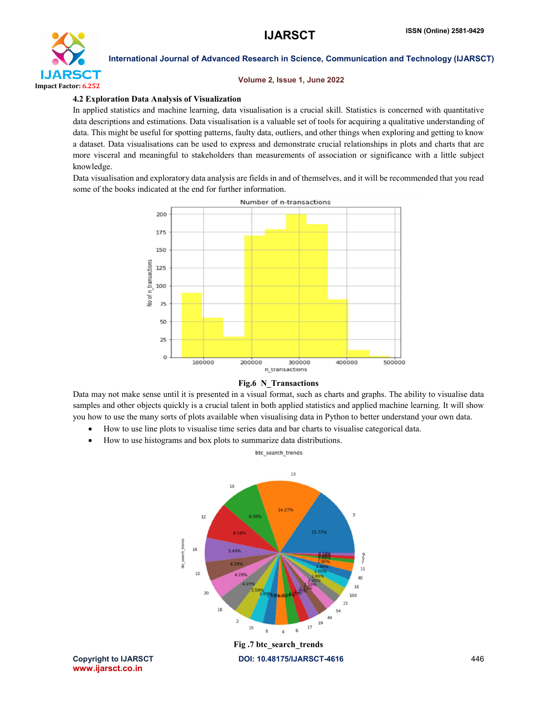

#### Volume 2, Issue 1, June 2022

#### 4.2 Exploration Data Analysis of Visualization

In applied statistics and machine learning, data visualisation is a crucial skill. Statistics is concerned with quantitative data descriptions and estimations. Data visualisation is a valuable set of tools for acquiring a qualitative understanding of data. This might be useful for spotting patterns, faulty data, outliers, and other things when exploring and getting to know a dataset. Data visualisations can be used to express and demonstrate crucial relationships in plots and charts that are more visceral and meaningful to stakeholders than measurements of association or significance with a little subject knowledge.

Data visualisation and exploratory data analysis are fields in and of themselves, and it will be recommended that you read some of the books indicated at the end for further information.



### Fig.6 N\_Transactions

Data may not make sense until it is presented in a visual format, such as charts and graphs. The ability to visualise data samples and other objects quickly is a crucial talent in both applied statistics and applied machine learning. It will show you how to use the many sorts of plots available when visualising data in Python to better understand your own data.

- How to use line plots to visualise time series data and bar charts to visualise categorical data.
- How to use histograms and box plots to summarize data distributions.



www.ijarsct.co.in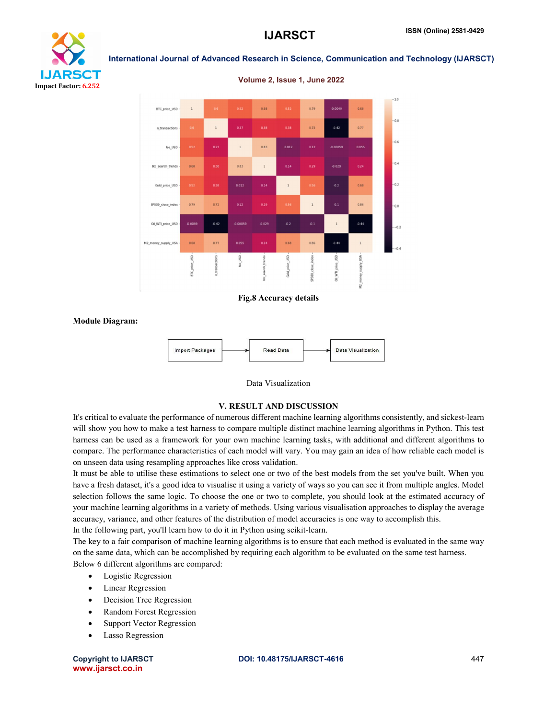



# Fig.8 Accuracy details

Module Diagram:



# Data Visualization

# V. RESULT AND DISCUSSION

It's critical to evaluate the performance of numerous different machine learning algorithms consistently, and sickest-learn will show you how to make a test harness to compare multiple distinct machine learning algorithms in Python. This test harness can be used as a framework for your own machine learning tasks, with additional and different algorithms to compare. The performance characteristics of each model will vary. You may gain an idea of how reliable each model is on unseen data using resampling approaches like cross validation.

It must be able to utilise these estimations to select one or two of the best models from the set you've built. When you have a fresh dataset, it's a good idea to visualise it using a variety of ways so you can see it from multiple angles. Model selection follows the same logic. To choose the one or two to complete, you should look at the estimated accuracy of your machine learning algorithms in a variety of methods. Using various visualisation approaches to display the average accuracy, variance, and other features of the distribution of model accuracies is one way to accomplish this.

In the following part, you'll learn how to do it in Python using scikit-learn.

The key to a fair comparison of machine learning algorithms is to ensure that each method is evaluated in the same way on the same data, which can be accomplished by requiring each algorithm to be evaluated on the same test harness. Below 6 different algorithms are compared:

- Logistic Regression
- Linear Regression
- Decision Tree Regression
- Random Forest Regression
- Support Vector Regression
- Lasso Regression

www.ijarsct.co.in

#### Volume 2, Issue 1, June 2022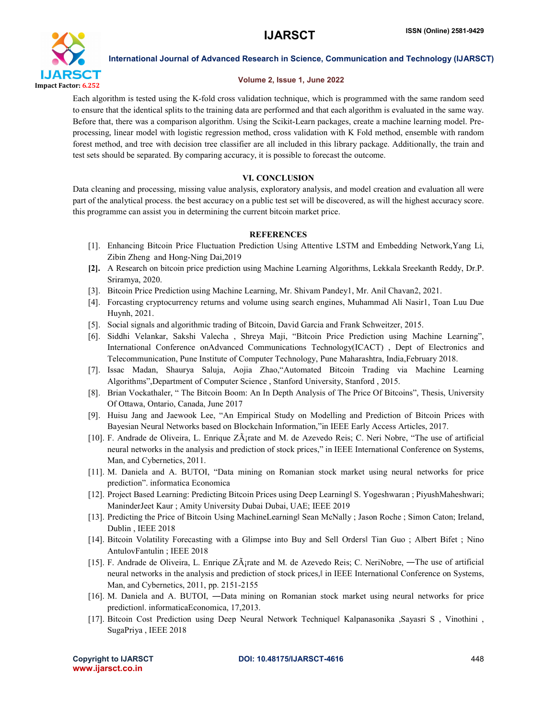

# Volume 2, Issue 1, June 2022

Each algorithm is tested using the K-fold cross validation technique, which is programmed with the same random seed to ensure that the identical splits to the training data are performed and that each algorithm is evaluated in the same way. Before that, there was a comparison algorithm. Using the Scikit-Learn packages, create a machine learning model. Preprocessing, linear model with logistic regression method, cross validation with K Fold method, ensemble with random forest method, and tree with decision tree classifier are all included in this library package. Additionally, the train and test sets should be separated. By comparing accuracy, it is possible to forecast the outcome.

# VI. CONCLUSION

Data cleaning and processing, missing value analysis, exploratory analysis, and model creation and evaluation all were part of the analytical process. the best accuracy on a public test set will be discovered, as will the highest accuracy score. this programme can assist you in determining the current bitcoin market price.

# **REFERENCES**

- [1]. Enhancing Bitcoin Price Fluctuation Prediction Using Attentive LSTM and Embedding Network,Yang Li, Zibin Zheng and Hong-Ning Dai,2019
- [2]. A Research on bitcoin price prediction using Machine Learning Algorithms, Lekkala Sreekanth Reddy, Dr.P. Sriramya, 2020.
- [3]. Bitcoin Price Prediction using Machine Learning, Mr. Shivam Pandey1, Mr. Anil Chavan2, 2021.
- [4]. Forcasting cryptocurrency returns and volume using search engines, Muhammad Ali Nasir1, Toan Luu Due Huynh, 2021.
- [5]. Social signals and algorithmic trading of Bitcoin, David Garcia and Frank Schweitzer, 2015.
- [6]. Siddhi Velankar, Sakshi Valecha , Shreya Maji, "Bitcoin Price Prediction using Machine Learning", International Conference onAdvanced Communications Technology(ICACT) , Dept of Electronics and Telecommunication, Pune Institute of Computer Technology, Pune Maharashtra, India,February 2018.
- [7]. Issac Madan, Shaurya Saluja, Aojia Zhao,"Automated Bitcoin Trading via Machine Learning Algorithms",Department of Computer Science , Stanford University, Stanford , 2015.
- [8]. Brian Vockathaler, " The Bitcoin Boom: An In Depth Analysis of The Price Of Bitcoins", Thesis, University Of Ottawa, Ontario, Canada, June 2017
- [9]. Huisu Jang and Jaewook Lee, "An Empirical Study on Modelling and Prediction of Bitcoin Prices with Bayesian Neural Networks based on Blockchain Information,"in IEEE Early Access Articles, 2017.
- [10]. F. Andrade de Oliveira, L. Enrique Zárate and M. de Azevedo Reis; C. Neri Nobre, "The use of artificial neural networks in the analysis and prediction of stock prices," in IEEE International Conference on Systems, Man, and Cybernetics, 2011.
- [11]. M. Daniela and A. BUTOI, "Data mining on Romanian stock market using neural networks for price prediction". informatica Economica
- [12]. Project Based Learning: Predicting Bitcoin Prices using Deep Learning‖ S. Yogeshwaran ; PiyushMaheshwari; ManinderJeet Kaur ; Amity University Dubai Dubai, UAE; IEEE 2019
- [13]. Predicting the Price of Bitcoin Using MachineLearning‖ Sean McNally ; Jason Roche ; Simon Caton; Ireland, Dublin , IEEE 2018
- [14]. Bitcoin Volatility Forecasting with a Glimpse into Buy and Sell Orders‖ Tian Guo ; Albert Bifet ; Nino AntulovFantulin ; IEEE 2018
- [15]. F. Andrade de Oliveira, L. Enrique ZÂ<sub>l</sub>rate and M. de Azevedo Reis; C. NeriNobre, —The use of artificial neural networks in the analysis and prediction of stock prices, I in IEEE International Conference on Systems, Man, and Cybernetics, 2011, pp. 2151-2155
- [16]. M. Daniela and A. BUTOI, ―Data mining on Romanian stock market using neural networks for price prediction‖. informaticaEconomica, 17,2013.
- [17]. Bitcoin Cost Prediction using Deep Neural Network Technique‖ Kalpanasonika ,Sayasri S , Vinothini , SugaPriya , IEEE 2018